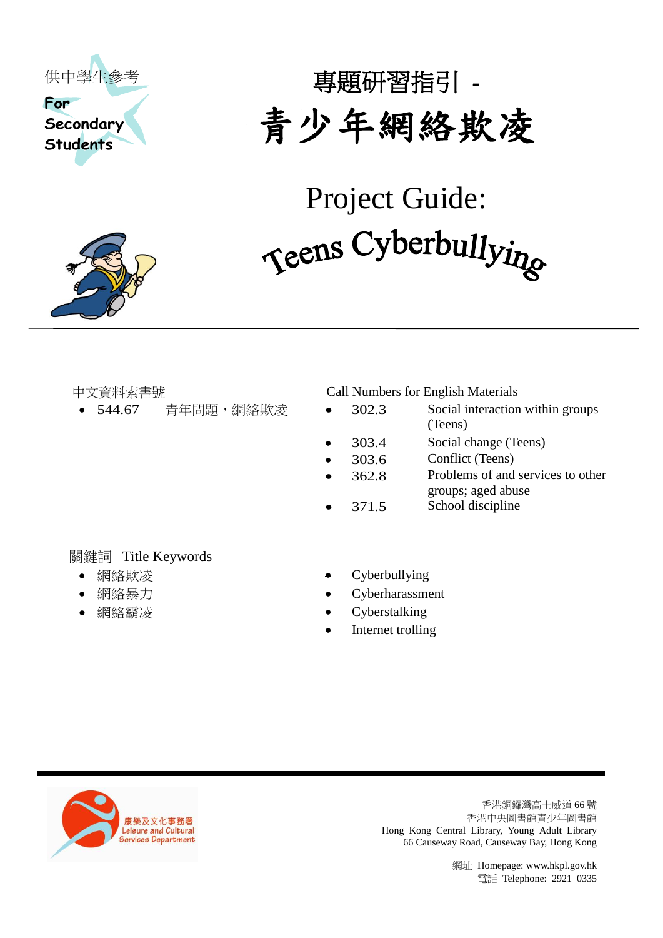



專題研習指引 - 青少年網絡欺凌

Project Guide: Teens Cyberbullying

中文資料索書號 Call Numbers for English Materials

- 544.67 青年問題,網絡欺凌 302.3 Social interaction within groups (Teens)
	- 303.4 Social change (Teens)
	- 303.6 Conflict (Teens)
	- 362.8 Problems of and services to other groups; aged abuse
	- 371.5 School discipline

## 關鍵詞 Title Keywords

- 
- 
- 
- 網絡欺凌 <br>
Cyberbullying
- 網絡暴力 Cyberharassment
- 網絡霸凌 <br>
Cyberstalking
	- Internet trolling



香港銅鑼灣高士威道 66 號 香港中央圖書館青少年圖書館 Hong Kong Central Library, Young Adult Library 66 Causeway Road, Causeway Bay, Hong Kong

> 網址 Homepage[: www.hkpl.gov.hk](http://www.hkpl.gov.hk/) 電話 Telephone: 2921 0335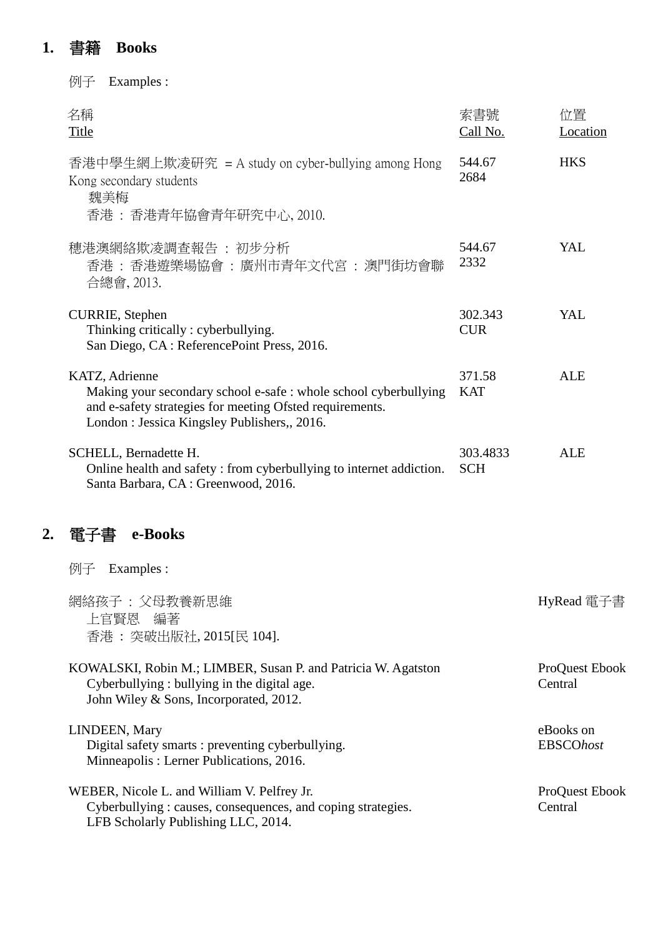# **1.** 書籍 **Books**

|    | Examples :<br>例子                                                                                                                                                                              |                        |                               |
|----|-----------------------------------------------------------------------------------------------------------------------------------------------------------------------------------------------|------------------------|-------------------------------|
|    | 名稱<br><b>Title</b>                                                                                                                                                                            | 索書號<br>Call No.        | 位置<br>Location                |
|    | 香港中學生網上欺凌研究 = A study on cyber-bullying among Hong<br>Kong secondary students<br>魏美梅<br>香港: 香港青年協會青年研究中心, 2010.                                                                               | 544.67<br>2684         | <b>HKS</b>                    |
|    | 穗港澳網絡欺凌調查報告 : 初步分析<br>香港 : 香港遊樂場協會 : 廣州市青年文代宮 : 澳門街坊會聯<br>合總會, 2013.                                                                                                                          | 544.67<br>2332         | YAL                           |
|    | <b>CURRIE</b> , Stephen<br>Thinking critically : cyberbullying.<br>San Diego, CA: ReferencePoint Press, 2016.                                                                                 | 302.343<br><b>CUR</b>  | YAL                           |
|    | KATZ, Adrienne<br>Making your secondary school e-safe : whole school cyberbullying<br>and e-safety strategies for meeting Ofsted requirements.<br>London: Jessica Kingsley Publishers,, 2016. | 371.58<br><b>KAT</b>   | <b>ALE</b>                    |
|    | SCHELL, Bernadette H.<br>Online health and safety: from cyberbullying to internet addiction.<br>Santa Barbara, CA: Greenwood, 2016.                                                           | 303.4833<br><b>SCH</b> | <b>ALE</b>                    |
| 2. | e-Books<br>畱                                                                                                                                                                                  |                        |                               |
|    | 例子 Examples :                                                                                                                                                                                 |                        |                               |
|    | 網絡孩子:父母教養新思維<br>上官賢恩 編著<br>香港: 突破出版社, 2015[民 104].                                                                                                                                            |                        | HyRead 電子書                    |
|    | KOWALSKI, Robin M.; LIMBER, Susan P. and Patricia W. Agatston<br>Cyberbullying: bullying in the digital age.<br>John Wiley & Sons, Incorporated, 2012.                                        |                        | ProQuest Ebook<br>Central     |
|    | LINDEEN, Mary<br>Digital safety smarts : preventing cyberbullying.<br>Minneapolis: Lerner Publications, 2016.                                                                                 |                        | eBooks on<br><b>EBSCOhost</b> |
|    | WEBER, Nicole L. and William V. Pelfrey Jr.<br>Cyberbullying : causes, consequences, and coping strategies.<br>LFB Scholarly Publishing LLC, 2014.                                            |                        | ProQuest Ebook<br>Central     |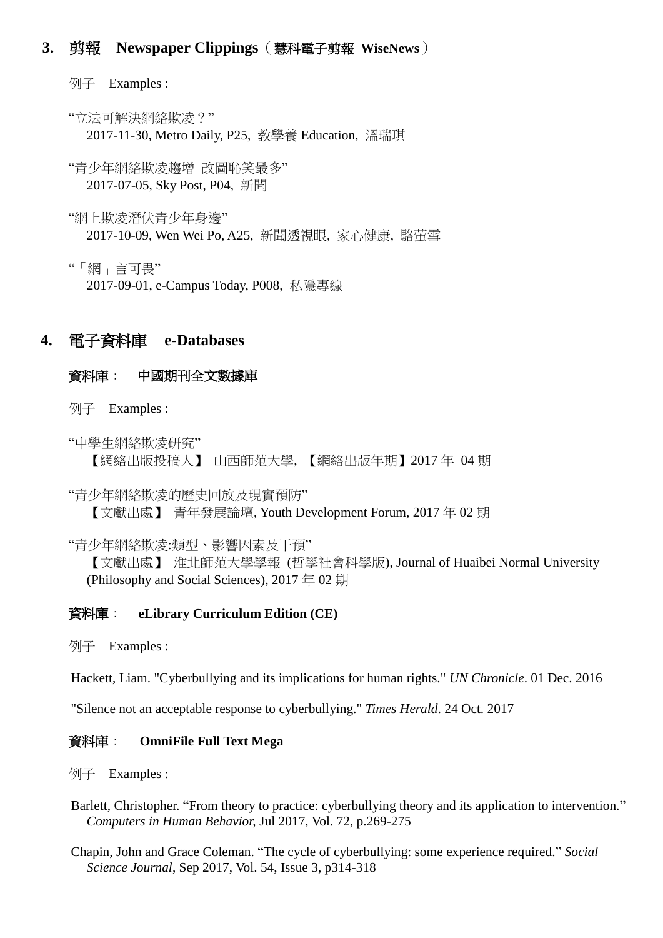## **3.** 剪報 **Newspaper Clippings**(慧科電子剪報 **WiseNews**)

例子 Examples :

"立法可解決網絡欺凌?" 2017-11-30, Metro Daily, P25, 教學養 Education, 溫瑞琪

"青少年網絡欺凌趨增 改圖恥笑最多" 2017-07-05, Sky Post, P04, 新聞

"網上欺凌潛伏青少年身邊" 2017-10-09, Wen Wei Po, A25, 新聞透視眼, 家心健康, 駱萤雪

"「網」言可畏" 2017-09-01, e-Campus Today, P008, 私隱專線

## **4.** 電子資料庫 **e-Databases**

#### 資料庫: 中國期刊全文數據庫

例子 Examples :

"中學生網絡欺凌研究" 【網絡出版投稿人】 山西師范大學, 【網絡出版年期】2017 年 04 期

"青少年網絡欺凌的歷史回放及現實預防" 【文獻出處】 青年發展論壇, Youth Development Forum, 2017 年 02 期

"青少年網絡欺凌:類型、影響因素及干預"

【文獻出處】 淮北師范大學學報 (哲學社會科學版), Journal of Huaibei Normal University (Philosophy and Social Sciences), 2017 年 02 期

#### 資料庫: **eLibrary Curriculum Edition (CE)**

例子 Examples :

Hackett, Liam. "Cyberbullying and its implications for human rights." *UN Chronicle*. 01 Dec. 2016

"Silence not an acceptable response to cyberbullying." *Times Herald*. 24 Oct. 2017

#### 資料庫: **OmniFile Full Text Mega**

例子 Examples :

- Barlett, Christopher. "From theory to practice: cyberbullying theory and its application to intervention." *Computers in Human Behavior,* Jul 2017, Vol. 72, p.269-275
- Chapin, John and Grace Coleman. "The cycle of cyberbullying: some experience required." *Social Science Journal*, Sep 2017, Vol. 54, Issue 3, p314-318